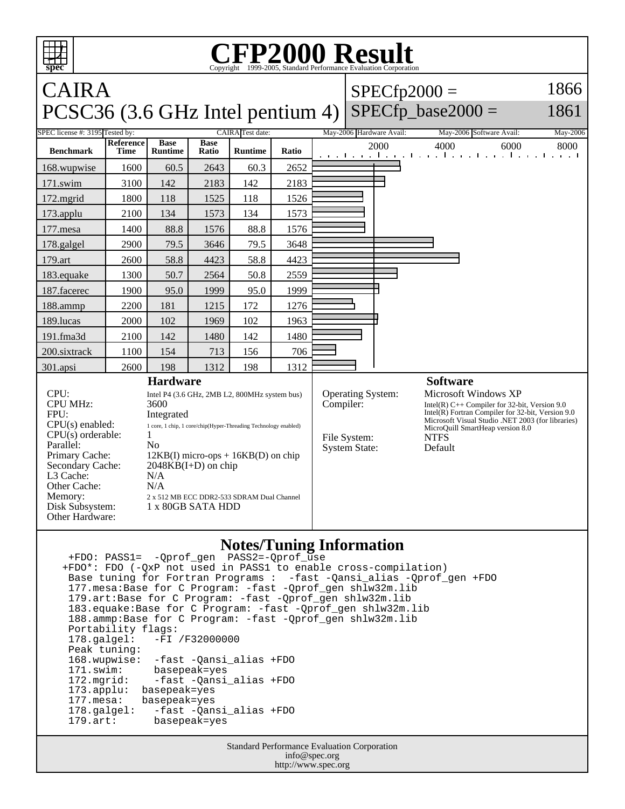## **spec CFP2000 Result** Copyright ©1999-2005, Stand CAIRA PCSC36 (3.6 GHz Intel pentium 4)  $SPECfp2000 =$ SPECfp base2000  $=$ 1866 1861 SPEC license #: 3195 Tested by: CAIRA Test date: May-2006 Hardware Avail: May-2006 Software Avail: May-2006 **Benchmark Reference Time Base Runtime Base Ratio Runtime Ratio** 2000 4000 6000 8000 168.wupwise 1600 60.5 2643 60.3 2652 171.swim | 3100 | 142 | 2183 | 142 | 2183 172.mgrid | 1800 | 118 | 1525 | 118 | 1526 173.applu | 2100 | 134 | 1573 | 134 | 1573 177.mesa | 1400 | 88.8 | 1576 | 88.8 | 1576 178.galgel | 2900 | 79.5 | 3646 | 79.5 | 3648 179.art | 2600 | 58.8 | 4423 | 58.8 | 4423 183.equake 1300 50.7 2564 50.8 2559 187.facerec | 1900 | 95.0 | 1999 | 95.0 | 1999 188.ammp | 2200 | 181 | 1215 | 172 | 1276 189.lucas | 2000 | 102 | 1969 | 102 | 1963 191.fma3d 2100 142 1480 142 1480 200.sixtrack 1100 154 713 156 706 301.apsi 2600 198 1312 198 1312 **Hardware** CPU: Intel P4 (3.6 GHz, 2MB L2, 800MHz system bus) CPU MHz: 3600 FPU: Integrated CPU(s) enabled: 1 core, 1 chip, 1 core/chip(Hyper-Threading Technology enabled)  $CPU(s)$  orderable:  $1$ Parallel: No<br>Primary Cache: 12F  $12KB(I)$  micro-ops +  $16KB(D)$  on chip Secondary Cache: 2048KB(I+D) on chip L3 Cache: N/A<br>Other Cache: N/A Other Cache: **Software** Operating System: Microsoft Windows XP Compiler: Intel(R) C++ Compiler for 32-bit, Version 9.0 Intel(R) Fortran Compiler for 32-bit, Version 9.0 Microsoft Visual Studio .NET 2003 (for libraries) MicroQuill SmartHeap version 8.0<br>NTFS File System: NTFS<br>System State: Default System State:

## **Notes/Tuning Information**

 +FDO: PASS1= -Qprof\_gen PASS2=-Qprof\_use +FDO\*: FDO (-QxP not used in PASS1 to enable cross-compilation) Base tuning for Fortran Programs : -fast -Qansi\_alias -Qprof\_gen +FDO 177.mesa:Base for C Program: -fast -Qprof\_gen shlw32m.lib 179.art:Base for C Program: -fast -Qprof\_gen shlw32m.lib 183.equake:Base for C Program: -fast -Qprof\_gen shlw32m.lib 188.ammp:Base for C Program: -fast -Qprof\_gen shlw32m.lib Portability flags:<br>178.galgel: -FI -FI /F32000000 Peak tuning: 168.wupwise: -fast -Qansi\_alias +FDO 171.swim: basepeak=yes<br>172.mqrid: -fast-Qansi 172.mgrid: -fast -Qansi\_alias +FDO 173.applu: basepeak=yes<br>177.mesa: basepeak=yes basepeak=yes 178.galgel: -fast -Qansi\_alias +FDO<br>179.art: basepeak=yes basepeak=yes

Memory: 2 x 512 MB ECC DDR2-533 SDRAM Dual Channel

Disk Subsystem: 1 x 80GB SATA HDD

Other Hardware:

Standard Performance Evaluation Corporation info@spec.org http://www.spec.org